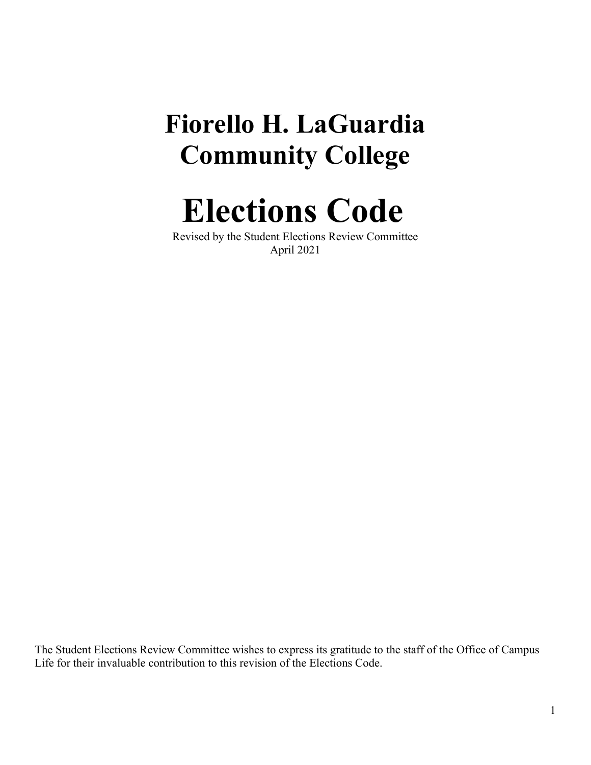# **Fiorello H. LaGuardia Community College**

**Elections Code**

Revised by the Student Elections Review Committee April 2021

The Student Elections Review Committee wishes to express its gratitude to the staff of the Office of Campus Life for their invaluable contribution to this revision of the Elections Code.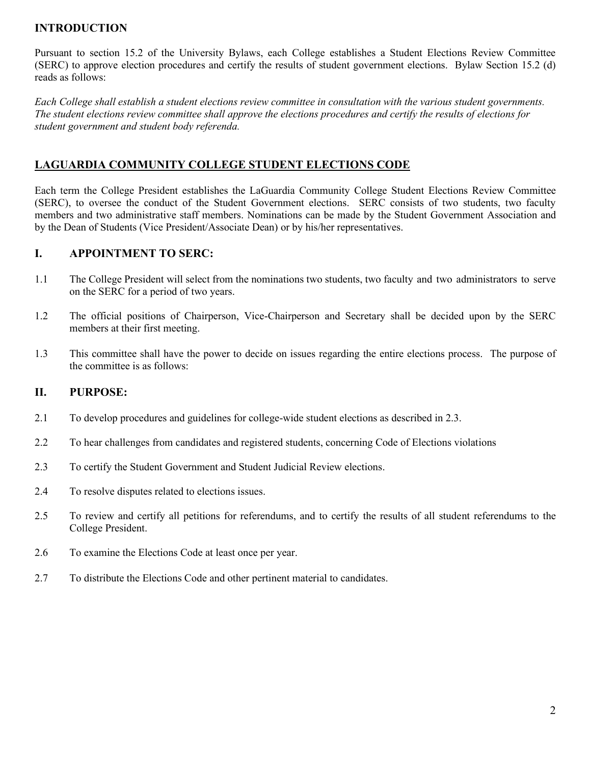## **INTRODUCTION**

Pursuant to section 15.2 of the University Bylaws, each College establishes a Student Elections Review Committee (SERC) to approve election procedures and certify the results of student government elections. Bylaw Section 15.2 (d) reads as follows:

*Each College shall establish a student elections review committee in consultation with the various student governments. The student elections review committee shall approve the elections procedures and certify the results of elections for student government and student body referenda.*

## **LAGUARDIA COMMUNITY COLLEGE STUDENT ELECTIONS CODE**

Each term the College President establishes the LaGuardia Community College Student Elections Review Committee (SERC), to oversee the conduct of the Student Government elections. SERC consists of two students, two faculty members and two administrative staff members. Nominations can be made by the Student Government Association and by the Dean of Students (Vice President/Associate Dean) or by his/her representatives.

## **I. APPOINTMENT TO SERC:**

- 1.1 The College President will select from the nominations two students, two faculty and two administrators to serve on the SERC for a period of two years.
- 1.2 The official positions of Chairperson, Vice-Chairperson and Secretary shall be decided upon by the SERC members at their first meeting.
- 1.3 This committee shall have the power to decide on issues regarding the entire elections process. The purpose of the committee is as follows:

## **II. PURPOSE:**

- 2.1 To develop procedures and guidelines for college-wide student elections as described in 2.3.
- 2.2 To hear challenges from candidates and registered students, concerning Code of Elections violations
- 2.3 To certify the Student Government and Student Judicial Review elections.
- 2.4 To resolve disputes related to elections issues.
- 2.5 To review and certify all petitions for referendums, and to certify the results of all student referendums to the College President.
- 2.6 To examine the Elections Code at least once per year.
- 2.7 To distribute the Elections Code and other pertinent material to candidates.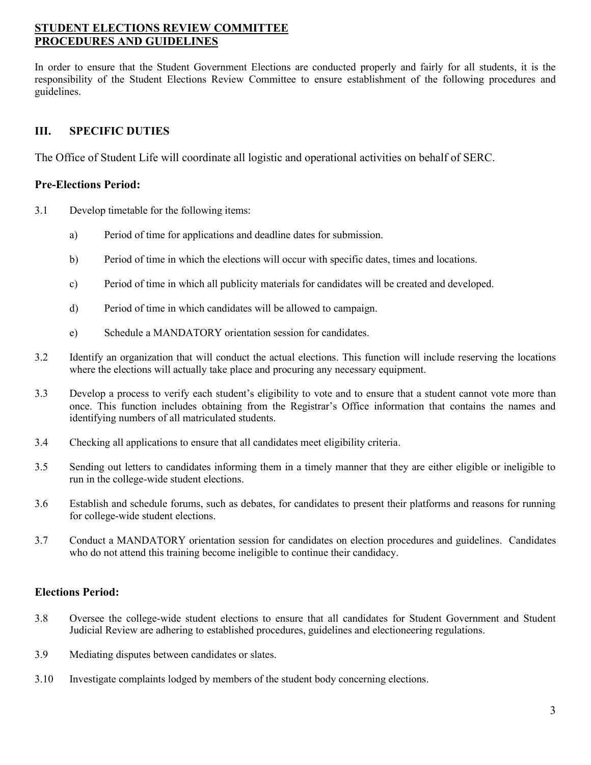## **STUDENT ELECTIONS REVIEW COMMITTEE PROCEDURES AND GUIDELINES**

In order to ensure that the Student Government Elections are conducted properly and fairly for all students, it is the responsibility of the Student Elections Review Committee to ensure establishment of the following procedures and guidelines.

## **III. SPECIFIC DUTIES**

The Office of Student Life will coordinate all logistic and operational activities on behalf of SERC.

#### **Pre-Elections Period:**

- 3.1 Develop timetable for the following items:
	- a) Period of time for applications and deadline dates for submission.
	- b) Period of time in which the elections will occur with specific dates, times and locations.
	- c) Period of time in which all publicity materials for candidates will be created and developed.
	- d) Period of time in which candidates will be allowed to campaign.
	- e) Schedule a MANDATORY orientation session for candidates.
- 3.2 Identify an organization that will conduct the actual elections. This function will include reserving the locations where the elections will actually take place and procuring any necessary equipment.
- 3.3 Develop a process to verify each student's eligibility to vote and to ensure that a student cannot vote more than once. This function includes obtaining from the Registrar's Office information that contains the names and identifying numbers of all matriculated students.
- 3.4 Checking all applications to ensure that all candidates meet eligibility criteria.
- 3.5 Sending out letters to candidates informing them in a timely manner that they are either eligible or ineligible to run in the college-wide student elections.
- 3.6 Establish and schedule forums, such as debates, for candidates to present their platforms and reasons for running for college-wide student elections.
- 3.7 Conduct a MANDATORY orientation session for candidates on election procedures and guidelines. Candidates who do not attend this training become ineligible to continue their candidacy.

## **Elections Period:**

- 3.8 Oversee the college-wide student elections to ensure that all candidates for Student Government and Student Judicial Review are adhering to established procedures, guidelines and electioneering regulations.
- 3.9 Mediating disputes between candidates or slates.
- 3.10 Investigate complaints lodged by members of the student body concerning elections.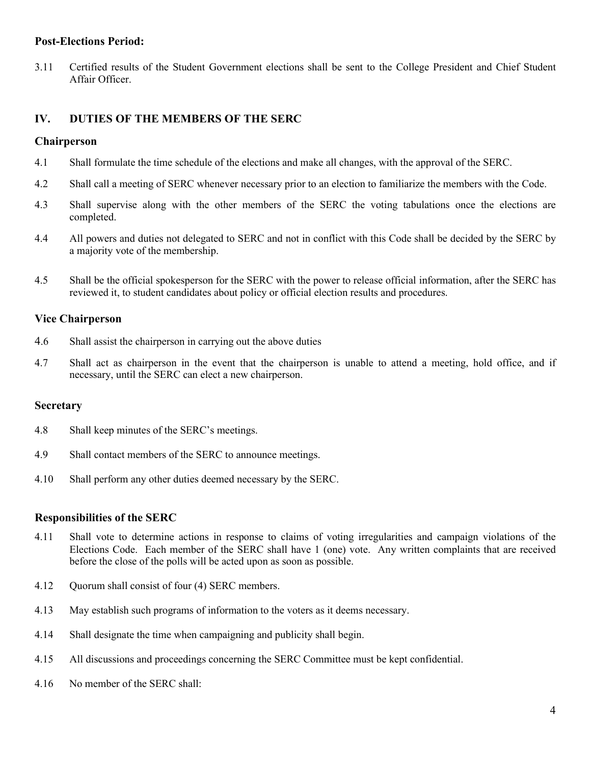#### **Post-Elections Period:**

3.11 Certified results of the Student Government elections shall be sent to the College President and Chief Student Affair Officer.

## **IV. DUTIES OF THE MEMBERS OF THE SERC**

#### **Chairperson**

- 4.1 Shall formulate the time schedule of the elections and make all changes, with the approval of the SERC.
- 4.2 Shall call a meeting of SERC whenever necessary prior to an election to familiarize the members with the Code.
- 4.3 Shall supervise along with the other members of the SERC the voting tabulations once the elections are completed.
- 4.4 All powers and duties not delegated to SERC and not in conflict with this Code shall be decided by the SERC by a majority vote of the membership.
- 4.5 Shall be the official spokesperson for the SERC with the power to release official information, after the SERC has reviewed it, to student candidates about policy or official election results and procedures.

#### **Vice Chairperson**

- 4.6 Shall assist the chairperson in carrying out the above duties
- 4.7 Shall act as chairperson in the event that the chairperson is unable to attend a meeting, hold office, and if necessary, until the SERC can elect a new chairperson.

#### **Secretary**

- 4.8 Shall keep minutes of the SERC's meetings.
- 4.9 Shall contact members of the SERC to announce meetings.
- 4.10 Shall perform any other duties deemed necessary by the SERC.

#### **Responsibilities of the SERC**

- 4.11 Shall vote to determine actions in response to claims of voting irregularities and campaign violations of the Elections Code. Each member of the SERC shall have 1 (one) vote. Any written complaints that are received before the close of the polls will be acted upon as soon as possible.
- 4.12 Quorum shall consist of four (4) SERC members.
- 4.13 May establish such programs of information to the voters as it deems necessary.
- 4.14 Shall designate the time when campaigning and publicity shall begin.
- 4.15 All discussions and proceedings concerning the SERC Committee must be kept confidential.
- 4.16 No member of the SERC shall: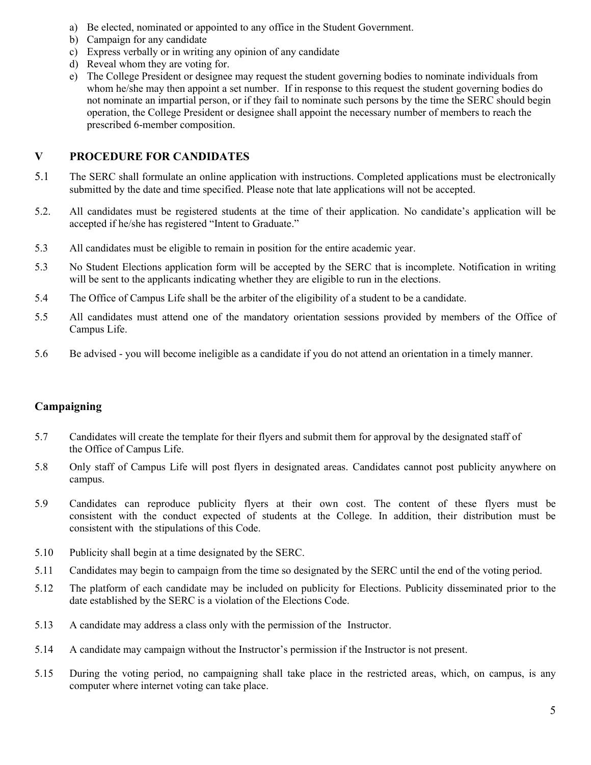- a) Be elected, nominated or appointed to any office in the Student Government.
- b) Campaign for any candidate
- c) Express verbally or in writing any opinion of any candidate
- d) Reveal whom they are voting for.
- e) The College President or designee may request the student governing bodies to nominate individuals from whom he/she may then appoint a set number. If in response to this request the student governing bodies do not nominate an impartial person, or if they fail to nominate such persons by the time the SERC should begin operation, the College President or designee shall appoint the necessary number of members to reach the prescribed 6-member composition.

#### **V PROCEDURE FOR CANDIDATES**

- 5.1 The SERC shall formulate an online application with instructions. Completed applications must be electronically submitted by the date and time specified. Please note that late applications will not be accepted.
- 5.2. All candidates must be registered students at the time of their application. No candidate's application will be accepted if he/she has registered "Intent to Graduate."
- 5.3 All candidates must be eligible to remain in position for the entire academic year.
- 5.3 No Student Elections application form will be accepted by the SERC that is incomplete. Notification in writing will be sent to the applicants indicating whether they are eligible to run in the elections.
- 5.4 The Office of Campus Life shall be the arbiter of the eligibility of a student to be a candidate.
- 5.5 All candidates must attend one of the mandatory orientation sessions provided by members of the Office of Campus Life.
- 5.6 Be advised you will become ineligible as a candidate if you do not attend an orientation in a timely manner.

## **Campaigning**

- 5.7 Candidates will create the template for their flyers and submit them for approval by the designated staff of the Office of Campus Life.
- 5.8Only staff of Campus Life will post flyers in designated areas. Candidates cannot post publicity anywhere on campus.
- 5.9 Candidates can reproduce publicity flyers at their own cost. The content of these flyers must be consistent with the conduct expected of students at the College. In addition, their distribution must be consistent with the stipulations of this Code.
- 5.10 Publicity shall begin at a time designated by the SERC.
- 5.11 Candidates may begin to campaign from the time so designated by the SERC until the end of the voting period.
- 5.12 The platform of each candidate may be included on publicity for Elections. Publicity disseminated prior to the date established by the SERC is a violation of the Elections Code.
- 5.13 A candidate may address a class only with the permission of the Instructor.
- 5.14 A candidate may campaign without the Instructor's permission if the Instructor is not present.
- 5.15 During the voting period, no campaigning shall take place in the restricted areas, which, on campus, is any computer where internet voting can take place.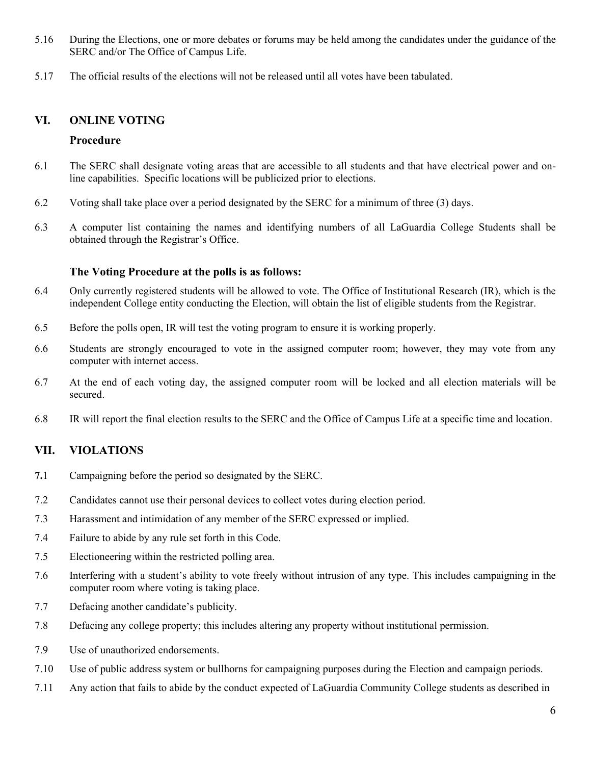- 5.16 During the Elections, one or more debates or forums may be held among the candidates under the guidance of the SERC and/or The Office of Campus Life.
- 5.17 The official results of the elections will not be released until all votes have been tabulated.

#### **VI. ONLINE VOTING**

#### **Procedure**

- 6.1 The SERC shall designate voting areas that are accessible to all students and that have electrical power and online capabilities. Specific locations will be publicized prior to elections.
- 6.2 Voting shall take place over a period designated by the SERC for a minimum of three (3) days.
- 6.3 A computer list containing the names and identifying numbers of all LaGuardia College Students shall be obtained through the Registrar's Office.

#### **The Voting Procedure at the polls is as follows:**

- 6.4 Only currently registered students will be allowed to vote. The Office of Institutional Research (IR), which is the independent College entity conducting the Election, will obtain the list of eligible students from the Registrar.
- 6.5 Before the polls open, IR will test the voting program to ensure it is working properly.
- 6.6 Students are strongly encouraged to vote in the assigned computer room; however, they may vote from any computer with internet access.
- 6.7 At the end of each voting day, the assigned computer room will be locked and all election materials will be secured.
- 6.8 IR will report the final election results to the SERC and the Office of Campus Life at a specific time and location.

## **VII. VIOLATIONS**

- **7.**1 Campaigning before the period so designated by the SERC.
- 7.2 Candidates cannot use their personal devices to collect votes during election period.
- 7.3 Harassment and intimidation of any member of the SERC expressed or implied.
- 7.4 Failure to abide by any rule set forth in this Code.
- 7.5 Electioneering within the restricted polling area.
- 7.6 Interfering with a student's ability to vote freely without intrusion of any type. This includes campaigning in the computer room where voting is taking place.
- 7.7 Defacing another candidate's publicity.
- 7.8 Defacing any college property; this includes altering any property without institutional permission.
- 7.9 Use of unauthorized endorsements.
- 7.10 Use of public address system or bullhorns for campaigning purposes during the Election and campaign periods.
- 7.11 Any action that fails to abide by the conduct expected of LaGuardia Community College students as described in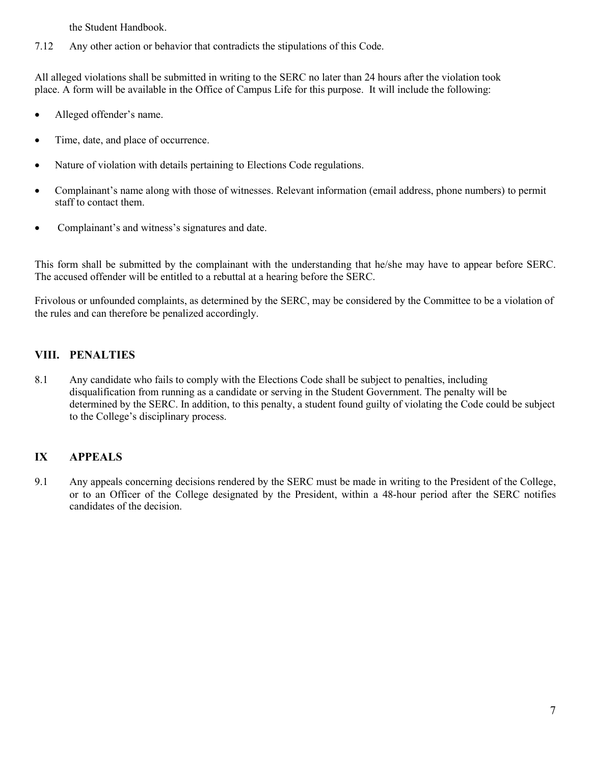the Student Handbook.

7.12 Any other action or behavior that contradicts the stipulations of this Code.

All alleged violations shall be submitted in writing to the SERC no later than 24 hours after the violation took place. A form will be available in the Office of Campus Life for this purpose. It will include the following:

- Alleged offender's name.
- Time, date, and place of occurrence.
- Nature of violation with details pertaining to Elections Code regulations.
- Complainant's name along with those of witnesses. Relevant information (email address, phone numbers) to permit staff to contact them.
- Complainant's and witness's signatures and date.

This form shall be submitted by the complainant with the understanding that he/she may have to appear before SERC. The accused offender will be entitled to a rebuttal at a hearing before the SERC.

Frivolous or unfounded complaints, as determined by the SERC, may be considered by the Committee to be a violation of the rules and can therefore be penalized accordingly.

## **VIII. PENALTIES**

8.1 Any candidate who fails to comply with the Elections Code shall be subject to penalties, including disqualification from running as a candidate or serving in the Student Government. The penalty will be determined by the SERC. In addition, to this penalty, a student found guilty of violating the Code could be subject to the College's disciplinary process.

# **IX APPEALS**

9.1 Any appeals concerning decisions rendered by the SERC must be made in writing to the President of the College, or to an Officer of the College designated by the President, within a 48-hour period after the SERC notifies candidates of the decision.